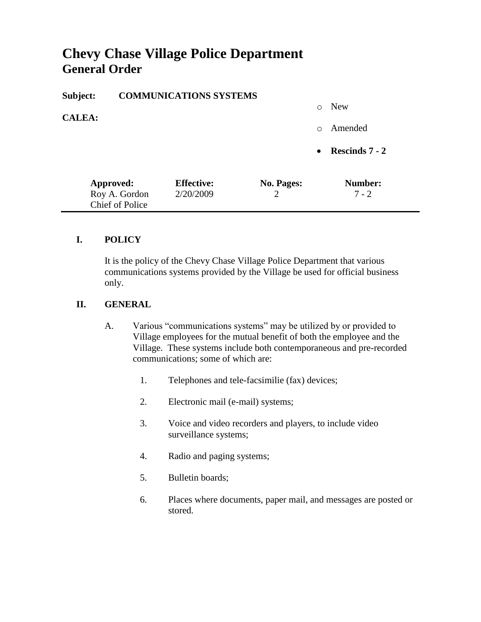# **Chevy Chase Village Police Department General Order**

| Subject:      | <b>COMMUNICATIONS SYSTEMS</b>           |                   |                |            |                |
|---------------|-----------------------------------------|-------------------|----------------|------------|----------------|
|               |                                         |                   |                | $\bigcirc$ | <b>New</b>     |
| <b>CALEA:</b> |                                         |                   |                | $\Omega$   | Amended        |
|               |                                         |                   |                | $\bullet$  | Rescinds 7 - 2 |
|               | Approved:                               | <b>Effective:</b> | No. Pages:     |            | Number:        |
|               | Roy A. Gordon<br><b>Chief of Police</b> | 2/20/2009         | $\overline{2}$ |            | $7 - 2$        |

#### **I. POLICY**

It is the policy of the Chevy Chase Village Police Department that various communications systems provided by the Village be used for official business only.

#### **II. GENERAL**

- A. Various "communications systems" may be utilized by or provided to Village employees for the mutual benefit of both the employee and the Village. These systems include both contemporaneous and pre-recorded communications; some of which are:
	- 1. Telephones and tele-facsimilie (fax) devices;
	- 2. Electronic mail (e-mail) systems;
	- 3. Voice and video recorders and players, to include video surveillance systems;
	- 4. Radio and paging systems;
	- 5. Bulletin boards;
	- 6. Places where documents, paper mail, and messages are posted or stored.